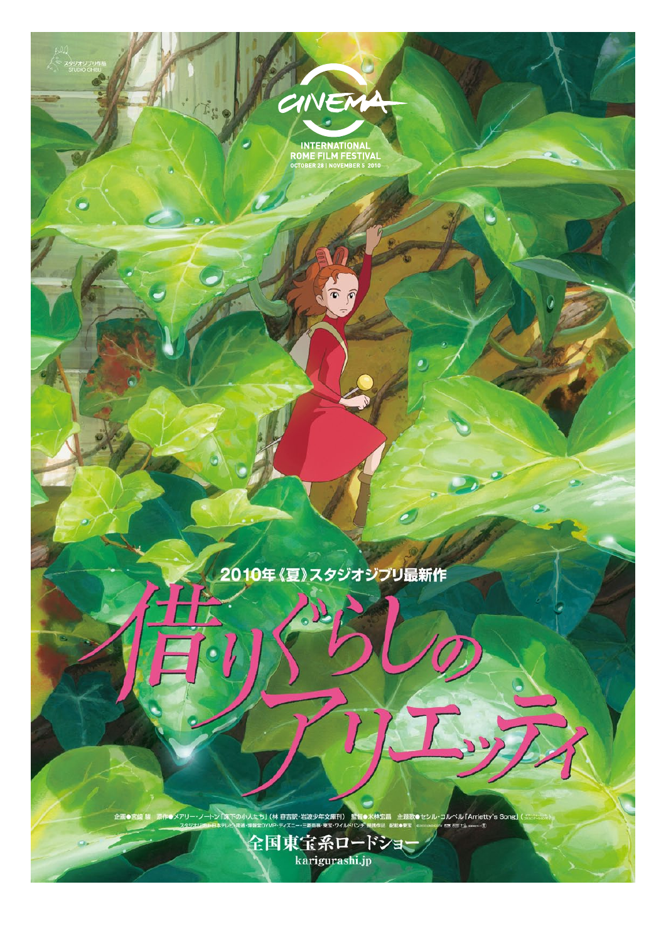

 $\sum_{i=1}^{n}$ 

INTERNATIONAL<br>ROME FILM FESTIVAL<br>OCTOBER 28 | NOVEMBER 5 2010

# 2010年《夏》スタジオジブリ最新作

■メアリー・ノートン「珠下の小人たち」 (林 容吉訳・岩波少年文庫刊)<br>スタジオン Hight = レベニョー - コーニュー - コーニュー 

全国東宝系ロードショ<mark>、</mark><br>\ karigurashi.jp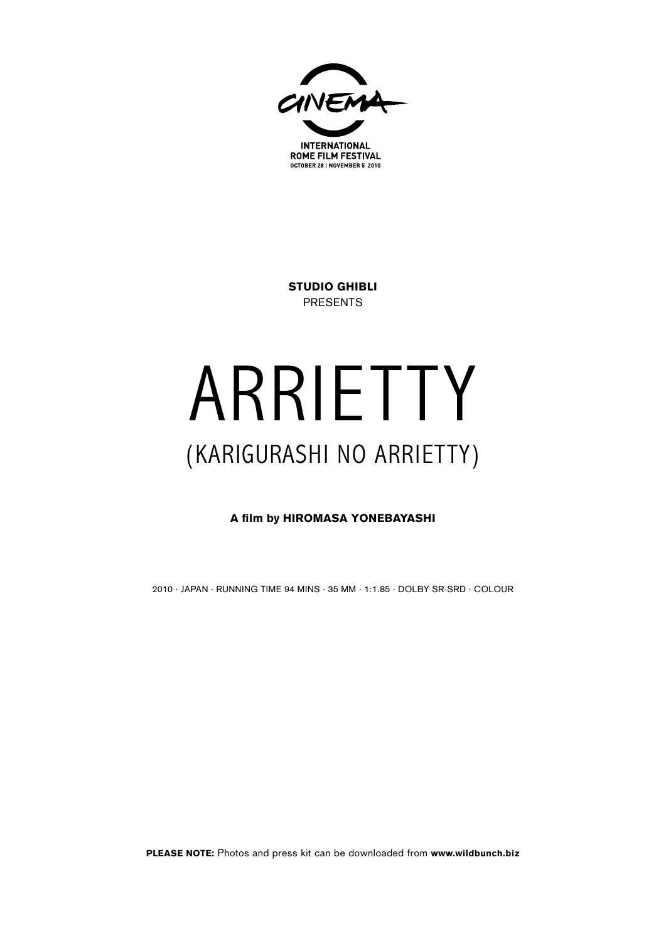

Studio Ghibli PRESENTS

# ARRIETTY (Karigurashi no Arrietty)

A film by Hiromasa Yonebayashi

2010 · JApan · RUNNING TIME 94 mins · 35 mm · 1:1.85 · DOLBY SR-SRD · COLOUR

**PLEASE NOTE:** Photos and press kit can be downloaded from www.wildbunch.biz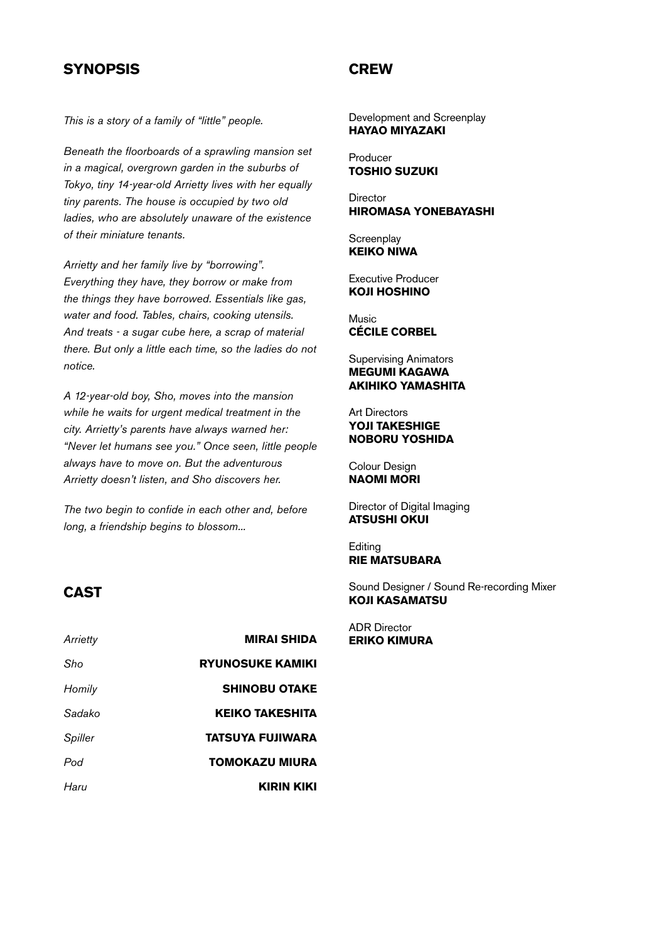### **SYNOPSIS**

**CREW** 

*This is a story of a family of "little" people.*

*Beneath the floorboards of a sprawling mansion set in a magical, overgrown garden in the suburbs of Tokyo, tiny 14-year-old Arrietty lives with her equally tiny parents. The house is occupied by two old ladies, who are absolutely unaware of the existence of their miniature tenants.*

*Arrietty and her family live by "borrowing". Everything they have, they borrow or make from the things they have borrowed. Essentials like gas, water and food. Tables, chairs, cooking utensils. And treats - a sugar cube here, a scrap of material there. But only a little each time, so the ladies do not notice.*

*A 12-year-old boy, Sho, moves into the mansion while he waits for urgent medical treatment in the city. Arrietty's parents have always warned her: "Never let humans see you." Once seen, little people always have to move on. But the adventurous Arrietty doesn't listen, and Sho discovers her.*

*The two begin to confide in each other and, before long, a friendship begins to blossom...*

#### Development and Screenplay Hayao Miyazaki

Producer Toshio Suzuki

**Director** Hiromasa Yonebayashi

**Screenplay** Keiko Niwa

Executive Producer Koji Hoshino

Music Cécile Corbel

Supervising Animators Megumi Kagawa Akihiko Yamashita

Art Directors Yoji Takeshige Noboru Yoshida

Colour Design Naomi Mori

Director of Digital Imaging Atsushi Okui

**Editing** Rie Matsubara

Sound Designer / Sound Re-recording Mixer Koji Kasamatsu

ADR Director Eriko Kimura

#### CAST

| Arrietty | <b>MIRAI SHIDA</b>      |
|----------|-------------------------|
| Sho      | <b>RYUNOSUKE KAMIKI</b> |
| Homily   | <b>SHINOBU OTAKE</b>    |
| Sadako   | <b>KEIKO TAKESHITA</b>  |
| Spiller  | TATSUYA FUJIWARA        |
| Pod      | TOMOKAZU MIURA          |
| Haru     | KIRIN KIKI              |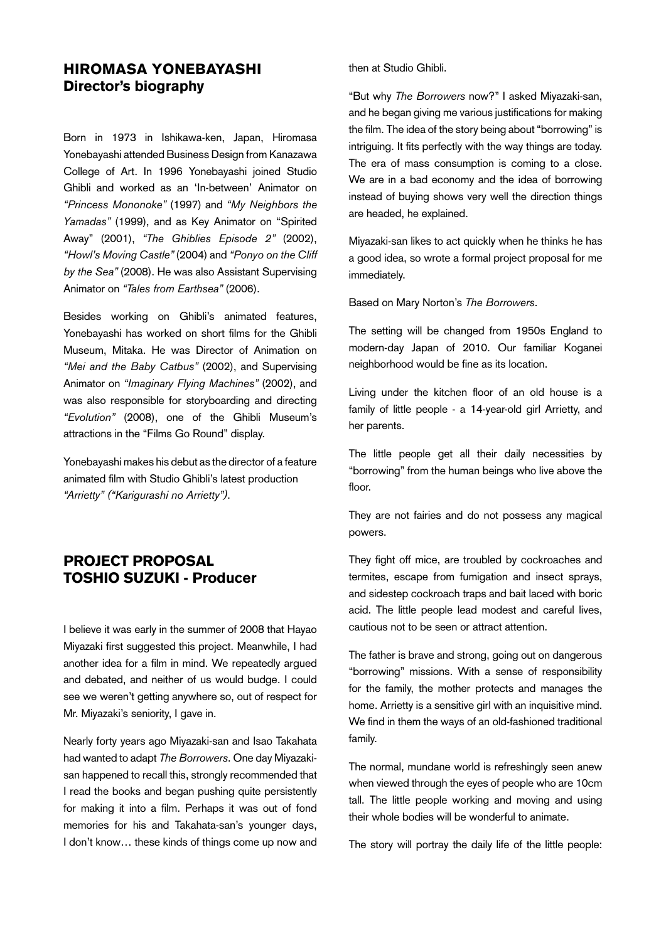# Hiromasa Yonebayashi Director's biography

Born in 1973 in Ishikawa-ken, Japan, Hiromasa Yonebayashi attended Business Design from Kanazawa College of Art. In 1996 Yonebayashi joined Studio Ghibli and worked as an 'In-between' Animator on *"Princess Mononoke"* (1997) and *"My Neighbors the Yamadas"* (1999), and as Key Animator on "Spirited Away" (2001), *"The Ghiblies Episode 2"* (2002), *"Howl's Moving Castle"* (2004) and *"Ponyo on the Cliff by the Sea"* (2008). He was also Assistant Supervising Animator on *"Tales from Earthsea"* (2006).

Besides working on Ghibli's animated features, Yonebayashi has worked on short films for the Ghibli Museum, Mitaka. He was Director of Animation on *"Mei and the Baby Catbus"* (2002), and Supervising Animator on *"Imaginary Flying Machines"* (2002), and was also responsible for storyboarding and directing *"Evolution"* (2008), one of the Ghibli Museum's attractions in the "Films Go Round" display.

Yonebayashi makes his debut as the director of a feature animated film with Studio Ghibli's latest production *"Arrietty" ("Karigurashi no Arrietty")*.

## Project Proposal TOSHIO SUZUKI - Producer

I believe it was early in the summer of 2008 that Hayao Miyazaki first suggested this project. Meanwhile, I had another idea for a film in mind. We repeatedly argued and debated, and neither of us would budge. I could see we weren't getting anywhere so, out of respect for Mr. Miyazaki's seniority, I gave in.

Nearly forty years ago Miyazaki-san and Isao Takahata had wanted to adapt *The Borrowers*. One day Miyazakisan happened to recall this, strongly recommended that I read the books and began pushing quite persistently for making it into a film. Perhaps it was out of fond memories for his and Takahata-san's younger days, I don't know… these kinds of things come up now and then at Studio Ghibli.

"But why *The Borrowers* now?" I asked Miyazaki-san, and he began giving me various justifications for making the film. The idea of the story being about "borrowing" is intriguing. It fits perfectly with the way things are today. The era of mass consumption is coming to a close. We are in a bad economy and the idea of borrowing instead of buying shows very well the direction things are headed, he explained.

Miyazaki-san likes to act quickly when he thinks he has a good idea, so wrote a formal project proposal for me immediately.

Based on Mary Norton's *The Borrowers*.

The setting will be changed from 1950s England to modern-day Japan of 2010. Our familiar Koganei neighborhood would be fine as its location.

Living under the kitchen floor of an old house is a family of little people - a 14-year-old girl Arrietty, and her parents.

The little people get all their daily necessities by "borrowing" from the human beings who live above the floor.

They are not fairies and do not possess any magical powers.

They fight off mice, are troubled by cockroaches and termites, escape from fumigation and insect sprays, and sidestep cockroach traps and bait laced with boric acid. The little people lead modest and careful lives, cautious not to be seen or attract attention.

The father is brave and strong, going out on dangerous "borrowing" missions. With a sense of responsibility for the family, the mother protects and manages the home. Arrietty is a sensitive girl with an inquisitive mind. We find in them the ways of an old-fashioned traditional family.

The normal, mundane world is refreshingly seen anew when viewed through the eyes of people who are 10cm tall. The little people working and moving and using their whole bodies will be wonderful to animate.

The story will portray the daily life of the little people: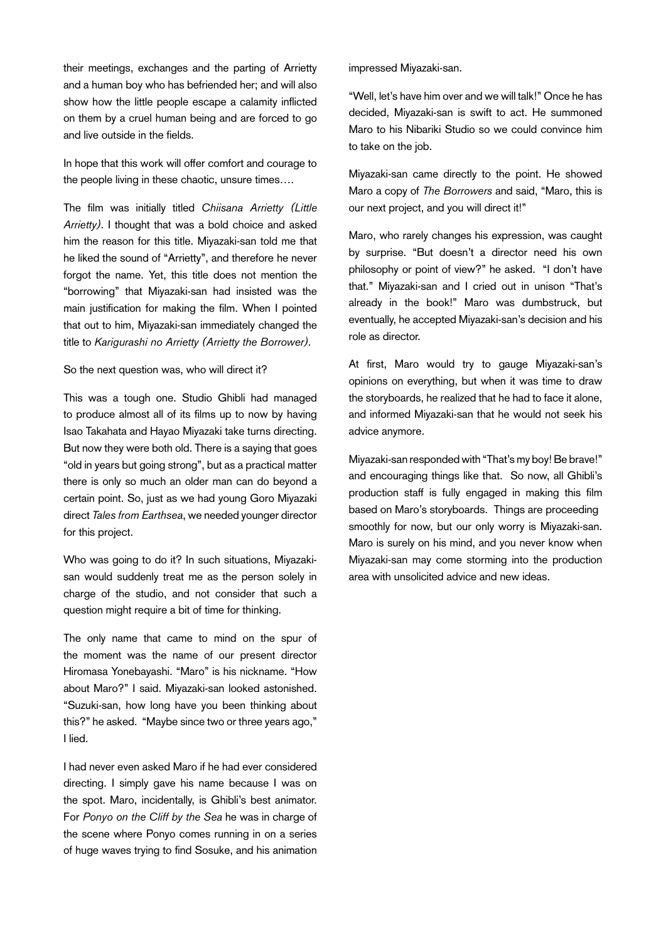their meetings, exchanges and the parting of Arrietty and a human boy who has befriended her; and will also show how the little people escape a calamity inflicted on them by a cruel human being and are forced to go and live outside in the fields.

In hope that this work will offer comfort and courage to the people living in these chaotic, unsure times….

The film was initially titled *Chiisana Arrietty (Little Arrietty)*. I thought that was a bold choice and asked him the reason for this title. Miyazaki-san told me that he liked the sound of "Arrietty", and therefore he never forgot the name. Yet, this title does not mention the "borrowing" that Miyazaki-san had insisted was the main justification for making the film. When I pointed that out to him, Miyazaki-san immediately changed the title to *Karigurashi no Arrietty (Arrietty the Borrower)*.

#### So the next question was, who will direct it?

This was a tough one. Studio Ghibli had managed to produce almost all of its films up to now by having Isao Takahata and Hayao Miyazaki take turns directing. But now they were both old. There is a saying that goes "old in years but going strong", but as a practical matter there is only so much an older man can do beyond a certain point. So, just as we had young Goro Miyazaki direct *Tales from Earthsea*, we needed younger director for this project.

Who was going to do it? In such situations, Miyazakisan would suddenly treat me as the person solely in charge of the studio, and not consider that such a question might require a bit of time for thinking.

The only name that came to mind on the spur of the moment was the name of our present director Hiromasa Yonebayashi. "Maro" is his nickname. "How about Maro?" I said. Miyazaki-san looked astonished. "Suzuki-san, how long have you been thinking about this?" he asked. "Maybe since two or three years ago," I lied.

I had never even asked Maro if he had ever considered directing. I simply gave his name because I was on the spot. Maro, incidentally, is Ghibli's best animator. For *Ponyo on the Cliff by the Sea* he was in charge of the scene where Ponyo comes running in on a series of huge waves trying to find Sosuke, and his animation impressed Miyazaki-san.

"Well, let's have him over and we will talk!" Once he has decided, Miyazaki-san is swift to act. He summoned Maro to his Nibariki Studio so we could convince him to take on the job.

Miyazaki-san came directly to the point. He showed Maro a copy of *The Borrowers* and said, "Maro, this is our next project, and you will direct it!"

Maro, who rarely changes his expression, was caught by surprise. "But doesn't a director need his own philosophy or point of view?" he asked. "I don't have that." Miyazaki-san and I cried out in unison "That's already in the book!" Maro was dumbstruck, but eventually, he accepted Miyazaki-san's decision and his role as director.

At first, Maro would try to gauge Miyazaki-san's opinions on everything, but when it was time to draw the storyboards, he realized that he had to face it alone, and informed Miyazaki-san that he would not seek his advice anymore.

Miyazaki-san responded with "That's my boy! Be brave!" and encouraging things like that. So now, all Ghibli's production staff is fully engaged in making this film based on Maro's storyboards. Things are proceeding smoothly for now, but our only worry is Miyazaki-san. Maro is surely on his mind, and you never know when Miyazaki-san may come storming into the production area with unsolicited advice and new ideas.